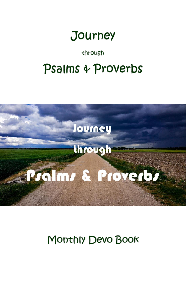

through

# Psalms & Proverbs



Monthly Devo Book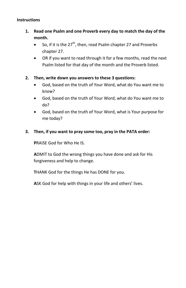#### **Instructions**

- **1. Read one Psalm and one Proverb every day to match the day of the month.**
	- So, if it is the  $27<sup>th</sup>$ , then, read Psalm chapter 27 and Proverbs chapter 27.
	- OR if you want to read through it for a few months, read the next Psalm listed for that day of the month and the Proverb listed.
- **2. Then, write down you answers to these 3 questions:**
	- God, based on the truth of Your Word, what do You want me to know?
	- God, based on the truth of Your Word, what do You want me to do?
	- God, based on the truth of Your Word, what is Your purpose for me today?

## **3. Then, if you want to pray some too, pray in the PATA order:**

**P**RAISE God for Who He IS.

**A**DMIT to God the wrong things you have done and ask for His forgiveness and help to change.

**T**HANK God for the things He has DONE for you.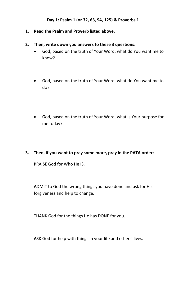## **Day 1: Psalm 1 (or 32, 63, 94, 125) & Proverbs 1**

- **1. Read the Psalm and Proverb listed above.**
- **2. Then, write down you answers to these 3 questions:**
	- God, based on the truth of Your Word, what do You want me to know?
	- God, based on the truth of Your Word, what do You want me to do?
	- God, based on the truth of Your Word, what is Your purpose for me today?
- **3. Then, if you want to pray some more, pray in the PATA order:**

**P**RAISE God for Who He IS.

**A**DMIT to God the wrong things you have done and ask for His forgiveness and help to change.

**T**HANK God for the things He has DONE for you.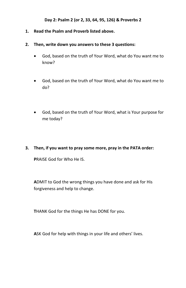#### **Day 2: Psalm 2 (or 2, 33, 64, 95, 126) & Proverbs 2**

- **1. Read the Psalm and Proverb listed above.**
- **2. Then, write down you answers to these 3 questions:**
	- God, based on the truth of Your Word, what do You want me to know?
	- God, based on the truth of Your Word, what do You want me to do?
	- God, based on the truth of Your Word, what is Your purpose for me today?
- **3. Then, if you want to pray some more, pray in the PATA order:**

**P**RAISE God for Who He IS.

**A**DMIT to God the wrong things you have done and ask for His forgiveness and help to change.

**T**HANK God for the things He has DONE for you.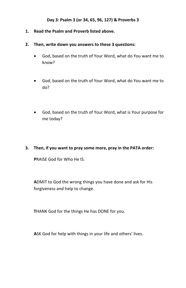## **Day 3: Psalm 3 (or 34, 65, 96, 127) & Proverbs 3**

- **1. Read the Psalm and Proverb listed above.**
- **2. Then, write down you answers to these 3 questions:**
	- God, based on the truth of Your Word, what do You want me to know?
	- God, based on the truth of Your Word, what do You want me to do?
	- God, based on the truth of Your Word, what is Your purpose for me today?
- **3. Then, if you want to pray some more, pray in the PATA order:**

**P**RAISE God for Who He IS.

**A**DMIT to God the wrong things you have done and ask for His forgiveness and help to change.

**T**HANK God for the things He has DONE for you.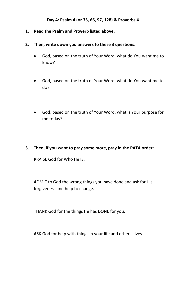## **Day 4: Psalm 4 (or 35, 66, 97, 128) & Proverbs 4**

- **1. Read the Psalm and Proverb listed above.**
- **2. Then, write down you answers to these 3 questions:**
	- God, based on the truth of Your Word, what do You want me to know?
	- God, based on the truth of Your Word, what do You want me to do?
	- God, based on the truth of Your Word, what is Your purpose for me today?
- **3. Then, if you want to pray some more, pray in the PATA order:**

**P**RAISE God for Who He IS.

**A**DMIT to God the wrong things you have done and ask for His forgiveness and help to change.

**T**HANK God for the things He has DONE for you.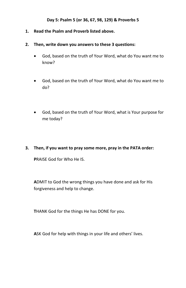## **Day 5: Psalm 5 (or 36, 67, 98, 129) & Proverbs 5**

- **1. Read the Psalm and Proverb listed above.**
- **2. Then, write down you answers to these 3 questions:**
	- God, based on the truth of Your Word, what do You want me to know?
	- God, based on the truth of Your Word, what do You want me to do?
	- God, based on the truth of Your Word, what is Your purpose for me today?
- **3. Then, if you want to pray some more, pray in the PATA order:**

**P**RAISE God for Who He IS.

**A**DMIT to God the wrong things you have done and ask for His forgiveness and help to change.

**T**HANK God for the things He has DONE for you.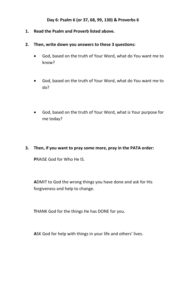## **Day 6: Psalm 6 (or 37, 68, 99, 130) & Proverbs 6**

- **1. Read the Psalm and Proverb listed above.**
- **2. Then, write down you answers to these 3 questions:**
	- God, based on the truth of Your Word, what do You want me to know?
	- God, based on the truth of Your Word, what do You want me to do?
	- God, based on the truth of Your Word, what is Your purpose for me today?
- **3. Then, if you want to pray some more, pray in the PATA order:**

**P**RAISE God for Who He IS.

**A**DMIT to God the wrong things you have done and ask for His forgiveness and help to change.

**T**HANK God for the things He has DONE for you.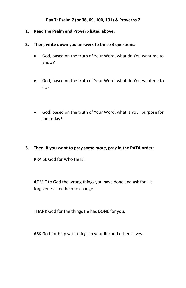## **Day 7: Psalm 7 (or 38, 69, 100, 131) & Proverbs 7**

- **1. Read the Psalm and Proverb listed above.**
- **2. Then, write down you answers to these 3 questions:**
	- God, based on the truth of Your Word, what do You want me to know?
	- God, based on the truth of Your Word, what do You want me to do?
	- God, based on the truth of Your Word, what is Your purpose for me today?
- **3. Then, if you want to pray some more, pray in the PATA order:**

**P**RAISE God for Who He IS.

**A**DMIT to God the wrong things you have done and ask for His forgiveness and help to change.

**T**HANK God for the things He has DONE for you.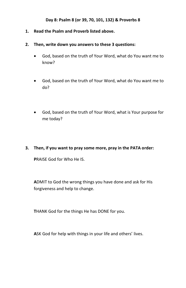## **Day 8: Psalm 8 (or 39, 70, 101, 132) & Proverbs 8**

- **1. Read the Psalm and Proverb listed above.**
- **2. Then, write down you answers to these 3 questions:**
	- God, based on the truth of Your Word, what do You want me to know?
	- God, based on the truth of Your Word, what do You want me to do?
	- God, based on the truth of Your Word, what is Your purpose for me today?
- **3. Then, if you want to pray some more, pray in the PATA order:**

**P**RAISE God for Who He IS.

**A**DMIT to God the wrong things you have done and ask for His forgiveness and help to change.

**T**HANK God for the things He has DONE for you.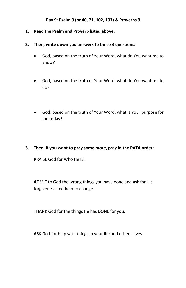## **Day 9: Psalm 9 (or 40, 71, 102, 133) & Proverbs 9**

- **1. Read the Psalm and Proverb listed above.**
- **2. Then, write down you answers to these 3 questions:**
	- God, based on the truth of Your Word, what do You want me to know?
	- God, based on the truth of Your Word, what do You want me to do?
	- God, based on the truth of Your Word, what is Your purpose for me today?
- **3. Then, if you want to pray some more, pray in the PATA order:**

**P**RAISE God for Who He IS.

**A**DMIT to God the wrong things you have done and ask for His forgiveness and help to change.

**T**HANK God for the things He has DONE for you.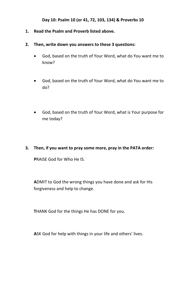#### **Day 10: Psalm 10 (or 41, 72, 103, 134) & Proverbs 10**

- **1. Read the Psalm and Proverb listed above.**
- **2. Then, write down you answers to these 3 questions:**
	- God, based on the truth of Your Word, what do You want me to know?
	- God, based on the truth of Your Word, what do You want me to do?
	- God, based on the truth of Your Word, what is Your purpose for me today?
- **3. Then, if you want to pray some more, pray in the PATA order:**

**P**RAISE God for Who He IS.

**A**DMIT to God the wrong things you have done and ask for His forgiveness and help to change.

**T**HANK God for the things He has DONE for you.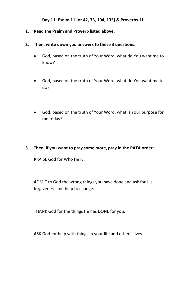#### **Day 11: Psalm 11 (or 42, 73, 104, 135) & Proverbs 11**

- **1. Read the Psalm and Proverb listed above.**
- **2. Then, write down you answers to these 3 questions:**
	- God, based on the truth of Your Word, what do You want me to know?
	- God, based on the truth of Your Word, what do You want me to do?
	- God, based on the truth of Your Word, what is Your purpose for me today?
- **3. Then, if you want to pray some more, pray in the PATA order:**

**P**RAISE God for Who He IS.

**A**DMIT to God the wrong things you have done and ask for His forgiveness and help to change.

**T**HANK God for the things He has DONE for you.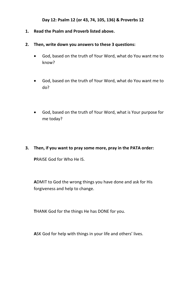#### **Day 12: Psalm 12 (or 43, 74, 105, 136) & Proverbs 12**

- **1. Read the Psalm and Proverb listed above.**
- **2. Then, write down you answers to these 3 questions:**
	- God, based on the truth of Your Word, what do You want me to know?
	- God, based on the truth of Your Word, what do You want me to do?
	- God, based on the truth of Your Word, what is Your purpose for me today?
- **3. Then, if you want to pray some more, pray in the PATA order:**

**P**RAISE God for Who He IS.

**A**DMIT to God the wrong things you have done and ask for His forgiveness and help to change.

**T**HANK God for the things He has DONE for you.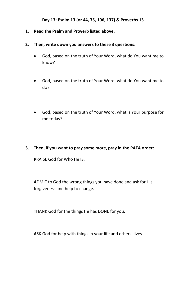#### **Day 13: Psalm 13 (or 44, 75, 106, 137) & Proverbs 13**

- **1. Read the Psalm and Proverb listed above.**
- **2. Then, write down you answers to these 3 questions:**
	- God, based on the truth of Your Word, what do You want me to know?
	- God, based on the truth of Your Word, what do You want me to do?
	- God, based on the truth of Your Word, what is Your purpose for me today?
- **3. Then, if you want to pray some more, pray in the PATA order:**

**P**RAISE God for Who He IS.

**A**DMIT to God the wrong things you have done and ask for His forgiveness and help to change.

**T**HANK God for the things He has DONE for you.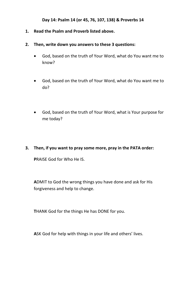#### **Day 14: Psalm 14 (or 45, 76, 107, 138) & Proverbs 14**

- **1. Read the Psalm and Proverb listed above.**
- **2. Then, write down you answers to these 3 questions:**
	- God, based on the truth of Your Word, what do You want me to know?
	- God, based on the truth of Your Word, what do You want me to do?
	- God, based on the truth of Your Word, what is Your purpose for me today?
- **3. Then, if you want to pray some more, pray in the PATA order:**

**P**RAISE God for Who He IS.

**A**DMIT to God the wrong things you have done and ask for His forgiveness and help to change.

**T**HANK God for the things He has DONE for you.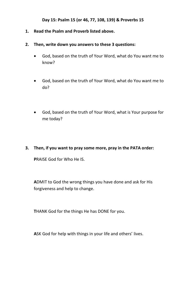#### **Day 15: Psalm 15 (or 46, 77, 108, 139) & Proverbs 15**

- **1. Read the Psalm and Proverb listed above.**
- **2. Then, write down you answers to these 3 questions:**
	- God, based on the truth of Your Word, what do You want me to know?
	- God, based on the truth of Your Word, what do You want me to do?
	- God, based on the truth of Your Word, what is Your purpose for me today?
- **3. Then, if you want to pray some more, pray in the PATA order:**

**P**RAISE God for Who He IS.

**A**DMIT to God the wrong things you have done and ask for His forgiveness and help to change.

**T**HANK God for the things He has DONE for you.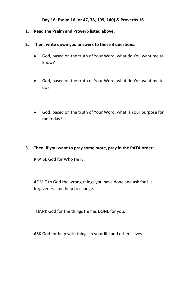#### **Day 16: Psalm 16 (or 47, 78, 109, 140) & Proverbs 16**

- **1. Read the Psalm and Proverb listed above.**
- **2. Then, write down you answers to these 3 questions:**
	- God, based on the truth of Your Word, what do You want me to know?
	- God, based on the truth of Your Word, what do You want me to do?
	- God, based on the truth of Your Word, what is Your purpose for me today?
- **3. Then, if you want to pray some more, pray in the PATA order:**

**P**RAISE God for Who He IS.

**A**DMIT to God the wrong things you have done and ask for His forgiveness and help to change.

**T**HANK God for the things He has DONE for you.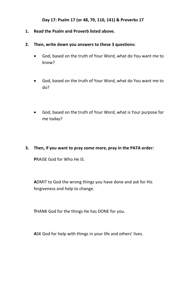#### **Day 17: Psalm 17 (or 48, 79, 110, 141) & Proverbs 17**

- **1. Read the Psalm and Proverb listed above.**
- **2. Then, write down you answers to these 3 questions:**
	- God, based on the truth of Your Word, what do You want me to know?
	- God, based on the truth of Your Word, what do You want me to do?
	- God, based on the truth of Your Word, what is Your purpose for me today?
- **3. Then, if you want to pray some more, pray in the PATA order:**

**P**RAISE God for Who He IS.

**A**DMIT to God the wrong things you have done and ask for His forgiveness and help to change.

**T**HANK God for the things He has DONE for you.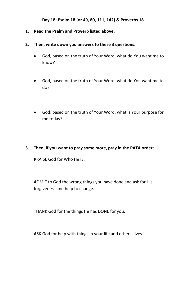#### **Day 18: Psalm 18 (or 49, 80, 111, 142) & Proverbs 18**

- **1. Read the Psalm and Proverb listed above.**
- **2. Then, write down you answers to these 3 questions:**
	- God, based on the truth of Your Word, what do You want me to know?
	- God, based on the truth of Your Word, what do You want me to do?
	- God, based on the truth of Your Word, what is Your purpose for me today?
- **3. Then, if you want to pray some more, pray in the PATA order:**

**P**RAISE God for Who He IS.

**A**DMIT to God the wrong things you have done and ask for His forgiveness and help to change.

**T**HANK God for the things He has DONE for you.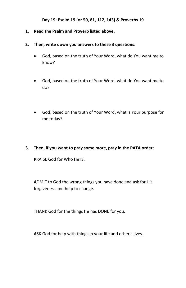#### **Day 19: Psalm 19 (or 50, 81, 112, 143) & Proverbs 19**

- **1. Read the Psalm and Proverb listed above.**
- **2. Then, write down you answers to these 3 questions:**
	- God, based on the truth of Your Word, what do You want me to know?
	- God, based on the truth of Your Word, what do You want me to do?
	- God, based on the truth of Your Word, what is Your purpose for me today?
- **3. Then, if you want to pray some more, pray in the PATA order:**

**P**RAISE God for Who He IS.

**A**DMIT to God the wrong things you have done and ask for His forgiveness and help to change.

**T**HANK God for the things He has DONE for you.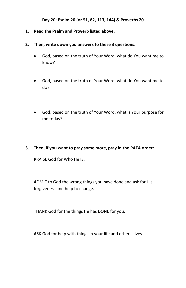#### **Day 20: Psalm 20 (or 51, 82, 113, 144) & Proverbs 20**

- **1. Read the Psalm and Proverb listed above.**
- **2. Then, write down you answers to these 3 questions:**
	- God, based on the truth of Your Word, what do You want me to know?
	- God, based on the truth of Your Word, what do You want me to do?
	- God, based on the truth of Your Word, what is Your purpose for me today?
- **3. Then, if you want to pray some more, pray in the PATA order:**

**P**RAISE God for Who He IS.

**A**DMIT to God the wrong things you have done and ask for His forgiveness and help to change.

**T**HANK God for the things He has DONE for you.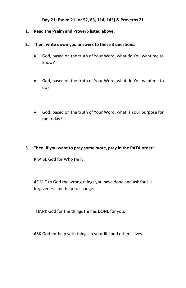#### **Day 21: Psalm 21 (or 52, 83, 114, 145) & Proverbs 21**

- **1. Read the Psalm and Proverb listed above.**
- **2. Then, write down you answers to these 3 questions:**
	- God, based on the truth of Your Word, what do You want me to know?
	- God, based on the truth of Your Word, what do You want me to do?
	- God, based on the truth of Your Word, what is Your purpose for me today?
- **3. Then, if you want to pray some more, pray in the PATA order:**

**P**RAISE God for Who He IS.

**A**DMIT to God the wrong things you have done and ask for His forgiveness and help to change.

**T**HANK God for the things He has DONE for you.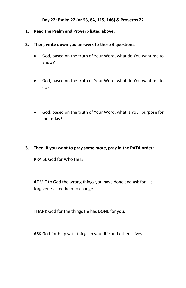#### **Day 22: Psalm 22 (or 53, 84, 115, 146) & Proverbs 22**

- **1. Read the Psalm and Proverb listed above.**
- **2. Then, write down you answers to these 3 questions:**
	- God, based on the truth of Your Word, what do You want me to know?
	- God, based on the truth of Your Word, what do You want me to do?
	- God, based on the truth of Your Word, what is Your purpose for me today?
- **3. Then, if you want to pray some more, pray in the PATA order:**

**P**RAISE God for Who He IS.

**A**DMIT to God the wrong things you have done and ask for His forgiveness and help to change.

**T**HANK God for the things He has DONE for you.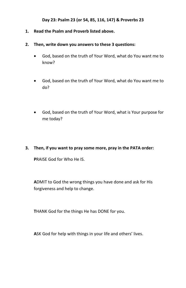#### **Day 23: Psalm 23 (or 54, 85, 116, 147) & Proverbs 23**

- **1. Read the Psalm and Proverb listed above.**
- **2. Then, write down you answers to these 3 questions:**
	- God, based on the truth of Your Word, what do You want me to know?
	- God, based on the truth of Your Word, what do You want me to do?
	- God, based on the truth of Your Word, what is Your purpose for me today?
- **3. Then, if you want to pray some more, pray in the PATA order:**

**P**RAISE God for Who He IS.

**A**DMIT to God the wrong things you have done and ask for His forgiveness and help to change.

**T**HANK God for the things He has DONE for you.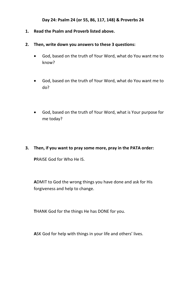#### **Day 24: Psalm 24 (or 55, 86, 117, 148) & Proverbs 24**

- **1. Read the Psalm and Proverb listed above.**
- **2. Then, write down you answers to these 3 questions:**
	- God, based on the truth of Your Word, what do You want me to know?
	- God, based on the truth of Your Word, what do You want me to do?
	- God, based on the truth of Your Word, what is Your purpose for me today?
- **3. Then, if you want to pray some more, pray in the PATA order:**

**P**RAISE God for Who He IS.

**A**DMIT to God the wrong things you have done and ask for His forgiveness and help to change.

**T**HANK God for the things He has DONE for you.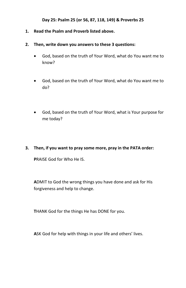#### **Day 25: Psalm 25 (or 56, 87, 118, 149) & Proverbs 25**

- **1. Read the Psalm and Proverb listed above.**
- **2. Then, write down you answers to these 3 questions:**
	- God, based on the truth of Your Word, what do You want me to know?
	- God, based on the truth of Your Word, what do You want me to do?
	- God, based on the truth of Your Word, what is Your purpose for me today?
- **3. Then, if you want to pray some more, pray in the PATA order:**

**P**RAISE God for Who He IS.

**A**DMIT to God the wrong things you have done and ask for His forgiveness and help to change.

**T**HANK God for the things He has DONE for you.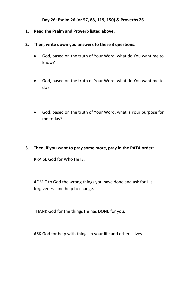#### **Day 26: Psalm 26 (or 57, 88, 119, 150) & Proverbs 26**

- **1. Read the Psalm and Proverb listed above.**
- **2. Then, write down you answers to these 3 questions:**
	- God, based on the truth of Your Word, what do You want me to know?
	- God, based on the truth of Your Word, what do You want me to do?
	- God, based on the truth of Your Word, what is Your purpose for me today?
- **3. Then, if you want to pray some more, pray in the PATA order:**

**P**RAISE God for Who He IS.

**A**DMIT to God the wrong things you have done and ask for His forgiveness and help to change.

**T**HANK God for the things He has DONE for you.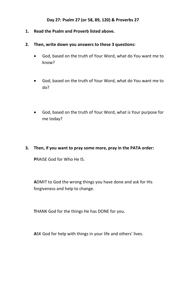## **Day 27: Psalm 27 (or 58, 89, 120) & Proverbs 27**

- **1. Read the Psalm and Proverb listed above.**
- **2. Then, write down you answers to these 3 questions:**
	- God, based on the truth of Your Word, what do You want me to know?
	- God, based on the truth of Your Word, what do You want me to do?
	- God, based on the truth of Your Word, what is Your purpose for me today?
- **3. Then, if you want to pray some more, pray in the PATA order:**

**P**RAISE God for Who He IS.

**A**DMIT to God the wrong things you have done and ask for His forgiveness and help to change.

**T**HANK God for the things He has DONE for you.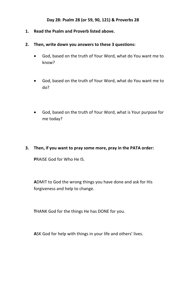## **Day 28: Psalm 28 (or 59, 90, 121) & Proverbs 28**

- **1. Read the Psalm and Proverb listed above.**
- **2. Then, write down you answers to these 3 questions:**
	- God, based on the truth of Your Word, what do You want me to know?
	- God, based on the truth of Your Word, what do You want me to do?
	- God, based on the truth of Your Word, what is Your purpose for me today?
- **3. Then, if you want to pray some more, pray in the PATA order:**

**P**RAISE God for Who He IS.

**A**DMIT to God the wrong things you have done and ask for His forgiveness and help to change.

**T**HANK God for the things He has DONE for you.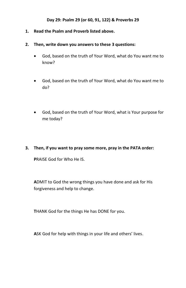## **Day 29: Psalm 29 (or 60, 91, 122) & Proverbs 29**

- **1. Read the Psalm and Proverb listed above.**
- **2. Then, write down you answers to these 3 questions:**
	- God, based on the truth of Your Word, what do You want me to know?
	- God, based on the truth of Your Word, what do You want me to do?
	- God, based on the truth of Your Word, what is Your purpose for me today?
- **3. Then, if you want to pray some more, pray in the PATA order:**

**P**RAISE God for Who He IS.

**A**DMIT to God the wrong things you have done and ask for His forgiveness and help to change.

**T**HANK God for the things He has DONE for you.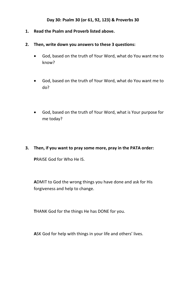## **Day 30: Psalm 30 (or 61, 92, 123) & Proverbs 30**

- **1. Read the Psalm and Proverb listed above.**
- **2. Then, write down you answers to these 3 questions:**
	- God, based on the truth of Your Word, what do You want me to know?
	- God, based on the truth of Your Word, what do You want me to do?
	- God, based on the truth of Your Word, what is Your purpose for me today?
- **3. Then, if you want to pray some more, pray in the PATA order:**

**P**RAISE God for Who He IS.

**A**DMIT to God the wrong things you have done and ask for His forgiveness and help to change.

**T**HANK God for the things He has DONE for you.